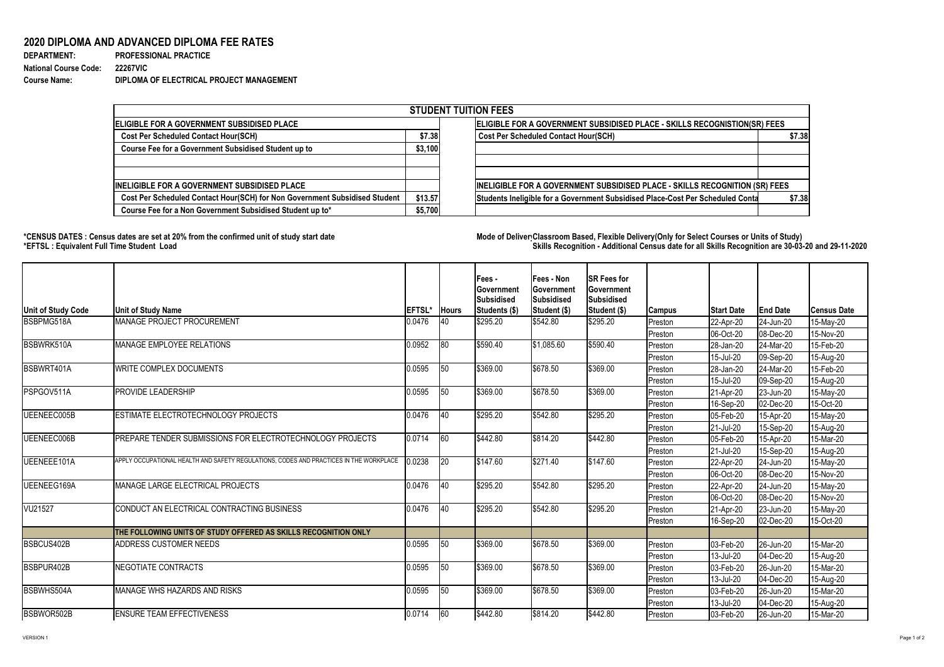VERSION 1 Page 1 of 2

## **2020 DIPLOMA AND ADVANCED DIPLOMA FEE RATES**

| <b>DEPARTMENT:</b>           | <b>PROFESSIONAL PRACTICE</b>             |
|------------------------------|------------------------------------------|
| <b>National Course Code:</b> | <b>22267VIC</b>                          |
| <b>Course Name:</b>          | DIPLOMA OF ELECTRICAL PROJECT MANAGEMENT |

## **\*CENSUS DATES : Census dates are set at 20% from the confirmed unit of study start date Mode of DeliveryClassroom Based, Flexible Delivery(Only for Select Courses or Units of Study) \*EFTSL : Equivalent Full Time Student Load Skills Recognition - Additional Census date for all Skills Recognition are 30-03-20 and 29-11-2020**

| <b>STUDENT TUITION FEES</b>                                                |                                                                           |                                                                                          |  |  |  |  |  |  |  |
|----------------------------------------------------------------------------|---------------------------------------------------------------------------|------------------------------------------------------------------------------------------|--|--|--|--|--|--|--|
| <b>IELIGIBLE FOR A GOVERNMENT SUBSIDISED PLACE</b>                         | ELIGIBLE FOR A GOVERNMENT SUBSIDISED PLACE - SKILLS RECOGNISTION(SR) FEES |                                                                                          |  |  |  |  |  |  |  |
| <b>Cost Per Scheduled Contact Hour(SCH)</b>                                |                                                                           | <b>Cost Per Scheduled Contact Hour(SCH)</b><br>\$7.38                                    |  |  |  |  |  |  |  |
| <b>Course Fee for a Government Subsidised Student up to</b>                | \$3,100                                                                   |                                                                                          |  |  |  |  |  |  |  |
| <b>INELIGIBLE FOR A GOVERNMENT SUBSIDISED PLACE</b>                        |                                                                           | INELIGIBLE FOR A GOVERNMENT SUBSIDISED PLACE - SKILLS RECOGNITION (SR) FEES              |  |  |  |  |  |  |  |
| Cost Per Scheduled Contact Hour(SCH) for Non Government Subsidised Student | \$13.57                                                                   | Students Ineligible for a Government Subsidised Place-Cost Per Scheduled Conta<br>\$7.38 |  |  |  |  |  |  |  |
| Course Fee for a Non Government Subsidised Student up to*                  | \$5,700                                                                   |                                                                                          |  |  |  |  |  |  |  |

| Unit of Study Code  | <b>Unit of Study Name</b>                                                              | <b>EFTSL*</b> | <b>Hours</b> | <b>Fees</b> -<br><b>Government</b><br>Subsidised<br><b>Students (\$)</b> | Fees - Non<br><b>Government</b><br>Subsidised<br>Student (\$) | <b>SR Fees for</b><br><b>Government</b><br><b>Subsidised</b><br> Student (\$) | Campus  | <b>Start Date</b> | <b>End Date</b>        | <b>Census Date</b> |
|---------------------|----------------------------------------------------------------------------------------|---------------|--------------|--------------------------------------------------------------------------|---------------------------------------------------------------|-------------------------------------------------------------------------------|---------|-------------------|------------------------|--------------------|
| <b>BSBPMG518A</b>   | MANAGE PROJECT PROCUREMENT                                                             | 0.0476        | <u> 140</u>  | \$295.20                                                                 | \$542.80                                                      | \$295.20                                                                      | Preston | 22-Apr-20         | 24-Jun-20              | 15-May-20          |
|                     |                                                                                        |               |              |                                                                          |                                                               |                                                                               | Preston | 06-Oct-20         | 08-Dec-20              | 15-Nov-20          |
| BSBWRK510A          | <b>MANAGE EMPLOYEE RELATIONS</b>                                                       | 0.0952        | $ 80\rangle$ | \$590.40                                                                 | \$1,085.60                                                    | \$590.40                                                                      | Preston | $ 28 - Jan - 20 $ | 24-Mar-20              | 15-Feb-20          |
|                     |                                                                                        |               |              |                                                                          |                                                               |                                                                               | Preston | 15-Jul-20         | $ 09 - Sep - 20 $      | 15-Aug-20          |
| BSBWRT401A          | <b>WRITE COMPLEX DOCUMENTS</b>                                                         | 0.0595        | $ 50\rangle$ | \$369.00                                                                 | \$678.50                                                      | \$369.00                                                                      | Preston | 28-Jan-20         | 24-Mar-20              | 15-Feb-20          |
|                     |                                                                                        |               |              |                                                                          |                                                               |                                                                               | Preston | 15-Jul-20         | $ 09 - \text{Sep-}20 $ | 15-Aug-20          |
| PSPGOV511A          | <b>PROVIDE LEADERSHIP</b>                                                              | 0.0595        | 50           | \$369.00                                                                 | \$678.50                                                      | \$369.00                                                                      | Preston | 21-Apr-20         | 23-Jun-20              | 15-May-20          |
|                     |                                                                                        |               |              |                                                                          |                                                               |                                                                               | Preston | 16-Sep-20         | $ 02$ -Dec-20          | 15-Oct-20          |
| UEENEEC005B         | ESTIMATE ELECTROTECHNOLOGY PROJECTS                                                    | 0.0476        | <u> 140</u>  | \$295.20                                                                 | \$542.80                                                      | \$295.20                                                                      | Preston | 05-Feb-20         | 15-Apr-20              | 15-May-20          |
|                     |                                                                                        |               |              |                                                                          |                                                               |                                                                               | Preston | 21-Jul-20         | 15-Sep-20              | 15-Aug-20          |
| UEENEEC006B         | PREPARE TENDER SUBMISSIONS FOR ELECTROTECHNOLOGY PROJECTS                              | 0.0714        | 60           | \$442.80                                                                 | \$814.20                                                      | \$442.80                                                                      | Preston | 05-Feb-20         | 15-Apr-20              | 15-Mar-20          |
|                     |                                                                                        |               |              |                                                                          |                                                               |                                                                               | Preston | 21-Jul-20         | 15-Sep-20              | 15-Aug-20          |
| <b>IUEENEEE101A</b> | APPLY OCCUPATIONAL HEALTH AND SAFETY REGULATIONS, CODES AND PRACTICES IN THE WORKPLACE | 0.0238        | $ 20\rangle$ | \$147.60                                                                 | \$271.40                                                      | \$147.60                                                                      | Preston | 22-Apr-20         | 24-Jun-20              | 15-May-20          |
|                     |                                                                                        |               |              |                                                                          |                                                               |                                                                               | Preston | 06-Oct-20         | $ 08 - Dec - 20 $      | 15-Nov-20          |
| UEENEEG169A         | MANAGE LARGE ELECTRICAL PROJECTS                                                       | 0.0476        | $ 40\rangle$ | \$295.20                                                                 | \$542.80                                                      | \$295.20                                                                      | Preston | 22-Apr-20         | 24-Jun-20              | 15-May-20          |
|                     |                                                                                        |               |              |                                                                          |                                                               |                                                                               | Preston | 06-Oct-20         | $ 08 - Dec - 20 $      | 15-Nov-20          |
| <b>VU21527</b>      | CONDUCT AN ELECTRICAL CONTRACTING BUSINESS                                             | 0.0476        | <b>40</b>    | \$295.20                                                                 | \$542.80                                                      | \$295.20                                                                      | Preston | 21-Apr-20         | $ 23 - Jun-20 $        | 15-May-20          |
|                     |                                                                                        |               |              |                                                                          |                                                               |                                                                               | Preston | 16-Sep-20         | $ 02 - Dec-20 $        | 15-Oct-20          |
|                     | THE FOLLOWING UNITS OF STUDY OFFERED AS SKILLS RECOGNITION ONLY                        |               |              |                                                                          |                                                               |                                                                               |         |                   |                        |                    |
| <b>BSBCUS402B</b>   | ADDRESS CUSTOMER NEEDS                                                                 | 0.0595        | 150          | \$369.00                                                                 | \$678.50                                                      | \$369.00                                                                      | Preston | 03-Feb-20         | 26-Jun-20              | 15-Mar-20          |
|                     |                                                                                        |               |              |                                                                          |                                                               |                                                                               | Preston | 13-Jul-20         | $ 04 - Dec - 20 $      | 15-Aug-20          |
| <b>BSBPUR402B</b>   | <b>NEGOTIATE CONTRACTS</b>                                                             | 0.0595        | 150          | \$369.00                                                                 | \$678.50                                                      | \$369.00                                                                      | Preston | 03-Feb-20         | 26-Jun-20              | 15-Mar-20          |
|                     |                                                                                        |               |              |                                                                          |                                                               |                                                                               | Preston | 13-Jul-20         | 04-Dec-20              | 15-Aug-20          |
| <b>BSBWHS504A</b>   | MANAGE WHS HAZARDS AND RISKS                                                           | 0.0595        | 50           | \$369.00                                                                 | \$678.50                                                      | \$369.00                                                                      | Preston | 03-Feb-20         | 26-Jun-20              | 15-Mar-20          |
|                     |                                                                                        |               |              |                                                                          |                                                               |                                                                               | Preston | 13-Jul-20         | $ 04 - Dec - 20 $      | 15-Aug-20          |
| BSBWOR502B          | <b>ENSURE TEAM EFFECTIVENESS</b>                                                       | 0.0714        | 60           | \$442.80                                                                 | \$814.20                                                      | \$442.80                                                                      | Preston | $ 03 - Feb - 20 $ | $ 26 - Jun - 20 $      | 15-Mar-20          |